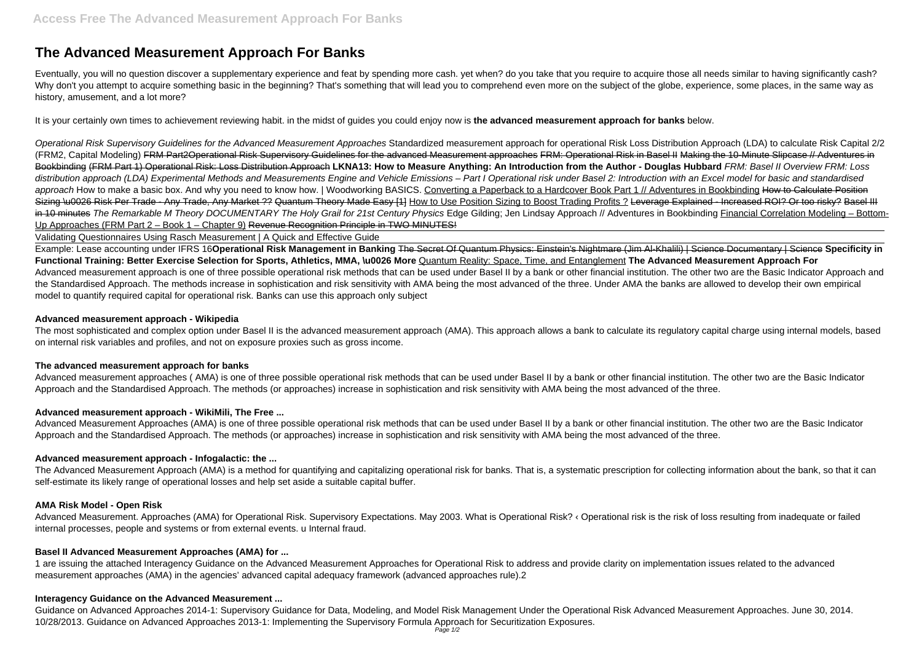# **The Advanced Measurement Approach For Banks**

Eventually, you will no question discover a supplementary experience and feat by spending more cash. yet when? do you take that you require to acquire those all needs similar to having significantly cash? Why don't you attempt to acquire something basic in the beginning? That's something that will lead you to comprehend even more on the subject of the globe, experience, some places, in the same way as history, amusement, and a lot more?

Operational Risk Supervisory Guidelines for the Advanced Measurement Approaches Standardized measurement approach for operational Risk Loss Distribution Approach (LDA) to calculate Risk Capital 2/2 (FRM2, Capital Modeling) FRM Part2Operational Risk Supervisory Guidelines for the advanced Measurement approaches FRM: Operational Risk in Basel II Making the 10-Minute Slipcase // Adventures in Bookbinding (FRM Part 1) Operational Risk: Loss Distribution Approach **LKNA13: How to Measure Anything: An Introduction from the Author - Douglas Hubbard** FRM: Basel II Overview FRM: Loss distribution approach (LDA) Experimental Methods and Measurements Engine and Vehicle Emissions – Part I Operational risk under Basel 2: Introduction with an Excel model for basic and standardised approach How to make a basic box. And why you need to know how. | Woodworking BASICS. Converting a Paperback to a Hardcover Book Part 1 // Adventures in Bookbinding How to Calculate Position Sizing \u0026 Risk Per Trade - Any Trade, Any Market ?? Quantum Theory Made Easy [1] How to Use Position Sizing to Boost Trading Profits ? Leverage Explained - Increased ROI? Or too risky? Basel III in 10 minutes The Remarkable M Theory DOCUMENTARY The Holy Grail for 21st Century Physics Edge Gilding; Jen Lindsay Approach // Adventures in Bookbinding Financial Correlation Modeling – Bottom-Up Approaches (FRM Part 2 – Book 1 – Chapter 9) Revenue Recognition Principle in TWO MINUTES!

It is your certainly own times to achievement reviewing habit. in the midst of guides you could enjoy now is **the advanced measurement approach for banks** below.

Validating Questionnaires Using Rasch Measurement | A Quick and Effective Guide

Advanced Measurement. Approaches (AMA) for Operational Risk. Supervisory Expectations. May 2003. What is Operational Risk? ‹ Operational risk is the risk of loss resulting from inadequate or failed internal processes, people and systems or from external events. u Internal fraud.

Example: Lease accounting under IFRS 16**Operational Risk Management in Banking** The Secret Of Quantum Physics: Einstein's Nightmare (Jim Al-Khalili) | Science Documentary | Science **Specificity in Functional Training: Better Exercise Selection for Sports, Athletics, MMA, \u0026 More** Quantum Reality: Space, Time, and Entanglement **The Advanced Measurement Approach For** Advanced measurement approach is one of three possible operational risk methods that can be used under Basel II by a bank or other financial institution. The other two are the Basic Indicator Approach and the Standardised Approach. The methods increase in sophistication and risk sensitivity with AMA being the most advanced of the three. Under AMA the banks are allowed to develop their own empirical model to quantify required capital for operational risk. Banks can use this approach only subject

## **Advanced measurement approach - Wikipedia**

The most sophisticated and complex option under Basel II is the advanced measurement approach (AMA). This approach allows a bank to calculate its regulatory capital charge using internal models, based on internal risk variables and profiles, and not on exposure proxies such as gross income.

## **The advanced measurement approach for banks**

Advanced measurement approaches ( AMA) is one of three possible operational risk methods that can be used under Basel II by a bank or other financial institution. The other two are the Basic Indicator Approach and the Standardised Approach. The methods (or approaches) increase in sophistication and risk sensitivity with AMA being the most advanced of the three.

## **Advanced measurement approach - WikiMili, The Free ...**

Advanced Measurement Approaches (AMA) is one of three possible operational risk methods that can be used under Basel II by a bank or other financial institution. The other two are the Basic Indicator Approach and the Standardised Approach. The methods (or approaches) increase in sophistication and risk sensitivity with AMA being the most advanced of the three.

## **Advanced measurement approach - Infogalactic: the ...**

The Advanced Measurement Approach (AMA) is a method for quantifying and capitalizing operational risk for banks. That is, a systematic prescription for collecting information about the bank, so that it can self-estimate its likely range of operational losses and help set aside a suitable capital buffer.

## **AMA Risk Model - Open Risk**

## **Basel II Advanced Measurement Approaches (AMA) for ...**

1 are issuing the attached Interagency Guidance on the Advanced Measurement Approaches for Operational Risk to address and provide clarity on implementation issues related to the advanced measurement approaches (AMA) in the agencies' advanced capital adequacy framework (advanced approaches rule).2

## **Interagency Guidance on the Advanced Measurement ...**

Guidance on Advanced Approaches 2014-1: Supervisory Guidance for Data, Modeling, and Model Risk Management Under the Operational Risk Advanced Measurement Approaches. June 30, 2014. 10/28/2013. Guidance on Advanced Approaches 2013-1: Implementing the Supervisory Formula Approach for Securitization Exposures.